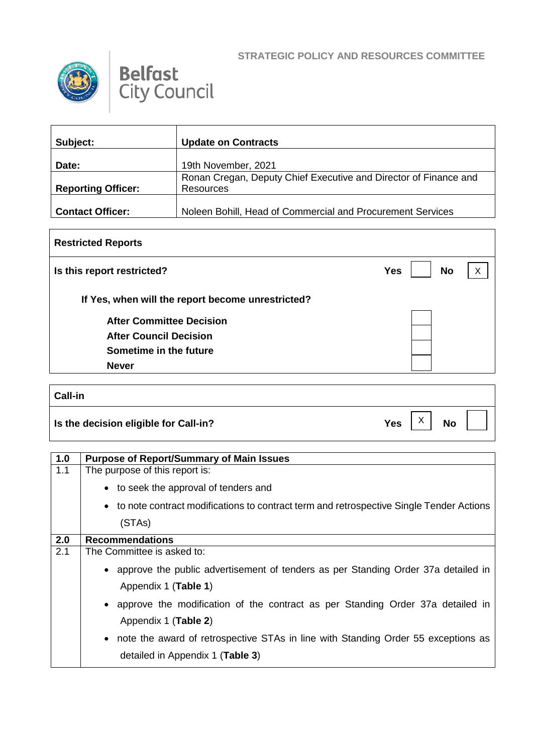

 $\Gamma$ 



| Subject:                  | <b>Update on Contracts</b>                                       |
|---------------------------|------------------------------------------------------------------|
| Date:                     | 19th November, 2021                                              |
|                           | Ronan Cregan, Deputy Chief Executive and Director of Finance and |
| <b>Reporting Officer:</b> | Resources                                                        |
| <b>Contact Officer:</b>   | Noleen Bohill, Head of Commercial and Procurement Services       |

| <b>Restricted Reports</b>                         |                         |   |
|---------------------------------------------------|-------------------------|---|
| Is this report restricted?                        | <b>No</b><br><b>Yes</b> | X |
| If Yes, when will the report become unrestricted? |                         |   |
| <b>After Committee Decision</b>                   |                         |   |
| <b>After Council Decision</b>                     |                         |   |
| Sometime in the future                            |                         |   |
| <b>Never</b>                                      |                         |   |

| <b>Call-in</b>                        |     |                           |           |  |
|---------------------------------------|-----|---------------------------|-----------|--|
| Is the decision eligible for Call-in? | Yes | $\checkmark$<br>$\lambda$ | <b>No</b> |  |

| 1.0 | <b>Purpose of Report/Summary of Main Issues</b>                                                             |
|-----|-------------------------------------------------------------------------------------------------------------|
| 1.1 | The purpose of this report is:                                                                              |
|     | • to seek the approval of tenders and                                                                       |
|     | • to note contract modifications to contract term and retrospective Single Tender Actions                   |
|     | (STAs)                                                                                                      |
| 2.0 | <b>Recommendations</b>                                                                                      |
| 2.1 | The Committee is asked to:                                                                                  |
|     | • approve the public advertisement of tenders as per Standing Order 37a detailed in<br>Appendix 1 (Table 1) |
|     | • approve the modification of the contract as per Standing Order 37a detailed in                            |
|     | Appendix 1 (Table 2)                                                                                        |
|     | • note the award of retrospective STAs in line with Standing Order 55 exceptions as                         |
|     | detailed in Appendix 1 (Table 3)                                                                            |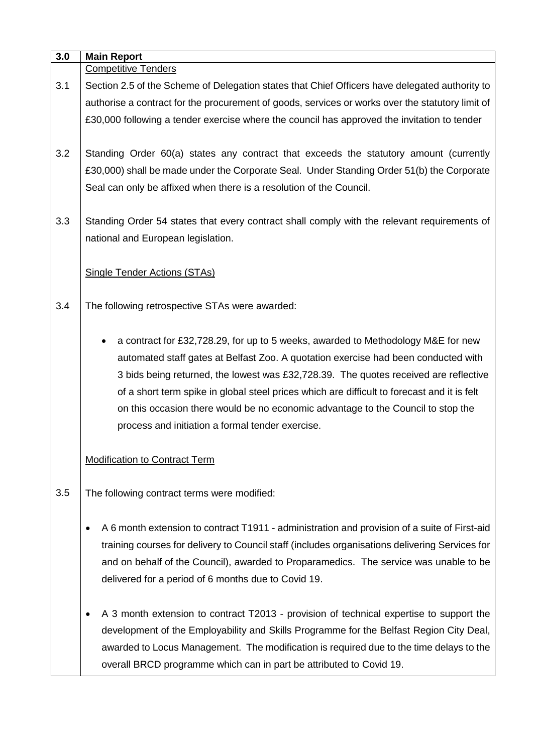| 3.0 | <b>Main Report</b>                                                                               |
|-----|--------------------------------------------------------------------------------------------------|
|     | <b>Competitive Tenders</b>                                                                       |
| 3.1 | Section 2.5 of the Scheme of Delegation states that Chief Officers have delegated authority to   |
|     | authorise a contract for the procurement of goods, services or works over the statutory limit of |
|     | £30,000 following a tender exercise where the council has approved the invitation to tender      |
|     |                                                                                                  |
| 3.2 | Standing Order 60(a) states any contract that exceeds the statutory amount (currently            |
|     | £30,000) shall be made under the Corporate Seal. Under Standing Order 51(b) the Corporate        |
|     | Seal can only be affixed when there is a resolution of the Council.                              |
|     |                                                                                                  |
| 3.3 | Standing Order 54 states that every contract shall comply with the relevant requirements of      |
|     | national and European legislation.                                                               |
|     |                                                                                                  |
|     | <b>Single Tender Actions (STAs)</b>                                                              |
|     |                                                                                                  |
| 3.4 | The following retrospective STAs were awarded:                                                   |
|     |                                                                                                  |
|     | a contract for £32,728.29, for up to 5 weeks, awarded to Methodology M&E for new<br>$\bullet$    |
|     | automated staff gates at Belfast Zoo. A quotation exercise had been conducted with               |
|     | 3 bids being returned, the lowest was £32,728.39. The quotes received are reflective             |
|     | of a short term spike in global steel prices which are difficult to forecast and it is felt      |
|     | on this occasion there would be no economic advantage to the Council to stop the                 |
|     | process and initiation a formal tender exercise.                                                 |
|     |                                                                                                  |
|     | <b>Modification to Contract Term</b>                                                             |
|     |                                                                                                  |
| 3.5 | The following contract terms were modified:                                                      |
|     |                                                                                                  |
|     | A 6 month extension to contract T1911 - administration and provision of a suite of First-aid     |
|     | training courses for delivery to Council staff (includes organisations delivering Services for   |
|     | and on behalf of the Council), awarded to Proparamedics. The service was unable to be            |
|     | delivered for a period of 6 months due to Covid 19.                                              |
|     |                                                                                                  |
|     | A 3 month extension to contract T2013 - provision of technical expertise to support the          |
|     | development of the Employability and Skills Programme for the Belfast Region City Deal,          |
|     | awarded to Locus Management. The modification is required due to the time delays to the          |
|     | overall BRCD programme which can in part be attributed to Covid 19.                              |
|     |                                                                                                  |